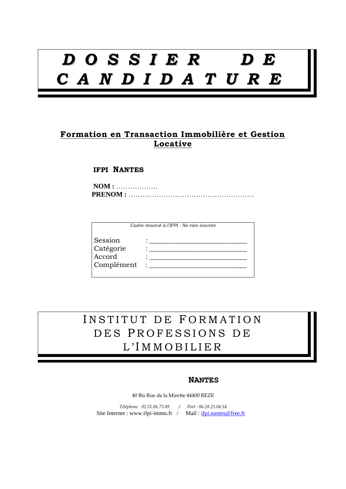# *D O S S I E R D E C A N D I D A T U R E*

### **Formation en Transaction Immobilière et Gestion Locative**

### **IFPI NANTES**

|                                              | Cadre réservé à l'IFPI - Ne rien inscrire |
|----------------------------------------------|-------------------------------------------|
| Session<br>Catégorie<br>Accord<br>Complément | $\bullet$                                 |

INSTITUT DE FORMATION DES PROFESSIONS DE L 'I M M O B I L I E R

#### **NANTES**

40 Bis Rue de la Mirette 44400 REZE

*Téléphone 02.51.86.73.89 / Port : 06.28.23.04.54*  Site Internet : www.ifpi-immo.fr / Mail : ifpi.nantes@free.fr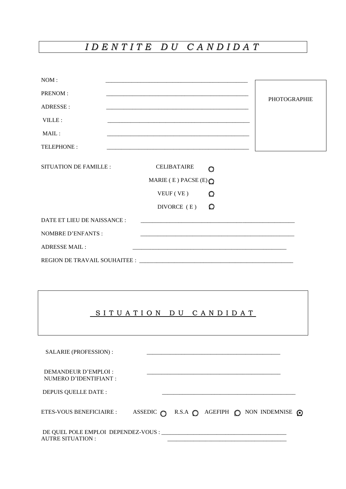# *I D E N T I T E D U C A N D I D A T*

| NOM:                        |                                                                                                                      |         |                     |  |
|-----------------------------|----------------------------------------------------------------------------------------------------------------------|---------|---------------------|--|
|                             |                                                                                                                      |         |                     |  |
| PRENOM:                     | <u> 1980 - Johann Barbara, martxa alemaniar argumento de la contrada de la contrada de la contrada de la contrad</u> |         |                     |  |
| ADRESSE:                    |                                                                                                                      |         | <b>PHOTOGRAPHIE</b> |  |
|                             |                                                                                                                      |         |                     |  |
| VILLE:                      |                                                                                                                      |         |                     |  |
| MAIL:                       |                                                                                                                      |         |                     |  |
| TELEPHONE:                  |                                                                                                                      |         |                     |  |
| SITUATION DE FAMILLE :      |                                                                                                                      |         |                     |  |
|                             | <b>CELIBATAIRE</b>                                                                                                   | O       |                     |  |
|                             | MARIE (E) PACSE (E) $\bigcirc$                                                                                       |         |                     |  |
|                             | VEUF (VE)                                                                                                            | O       |                     |  |
|                             | DIVORCE (E)                                                                                                          | $\circ$ |                     |  |
| DATE ET LIEU DE NAISSANCE : |                                                                                                                      |         |                     |  |
| NOMBRE D'ENFANTS :          |                                                                                                                      |         |                     |  |
| <b>ADRESSE MAIL:</b>        |                                                                                                                      |         |                     |  |
|                             |                                                                                                                      |         |                     |  |

## SITUATION DU CANDIDAT

| SALARIE (PROFESSION):                          |                                                                              |  |  |  |
|------------------------------------------------|------------------------------------------------------------------------------|--|--|--|
| DEMANDEUR D'EMPLOI :<br>NUMERO D'IDENTIFIANT : |                                                                              |  |  |  |
| DEPUIS OUELLE DATE :                           |                                                                              |  |  |  |
| ETES-VOUS BENEFICIAIRE :                       | ASSEDIC $\bigcap$ R.S.A $\bigcap$ AGEFIPH $\bigcap$ NON INDEMNISE $\bigcirc$ |  |  |  |
| <b>AUTRE SITUATION:</b>                        |                                                                              |  |  |  |